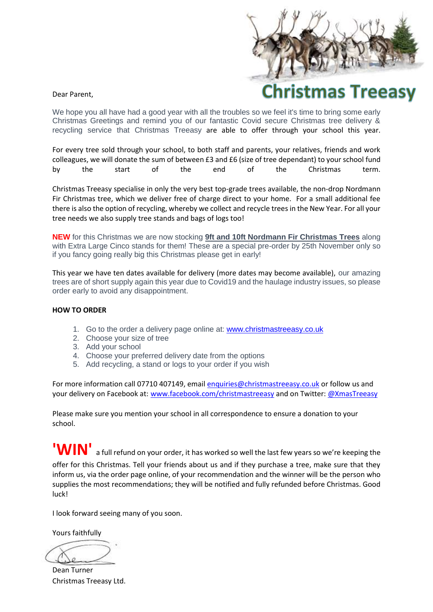## Dear Parent,



We hope you all have had a good year with all the troubles so we feel it's time to bring some early Christmas Greetings and remind you of our fantastic Covid secure Christmas tree delivery & recycling service that Christmas Treeasy are able to offer through your school this year.

For every tree sold through your school, to both staff and parents, your relatives, friends and work colleagues, we will donate the sum of between £3 and £6 (size of tree dependant) to your school fund by the start of the end of the Christmas term.

Christmas Treeasy specialise in only the very best top-grade trees available, the non-drop Nordmann Fir Christmas tree, which we deliver free of charge direct to your home. For a small additional fee there is also the option of recycling, whereby we collect and recycle trees in the New Year. For all your tree needs we also supply tree stands and bags of logs too!

**NEW** for this Christmas we are now stocking **9ft and 10ft Nordmann Fir Christmas Trees** along with Extra Large Cinco stands for them! These are a special pre-order by 25th November only so if you fancy going really big this Christmas please get in early!

This year we have ten dates available for delivery (more dates may become available), our amazing trees are of short supply again this year due to Covid19 and the haulage industry issues, so please order early to avoid any disappointment.

## **HOW TO ORDER**

- 1. Go to the order a delivery page online at: [www.christmastreeasy.co.uk](http://www.christmastreeasy.co.uk/)
- 2. Choose your size of tree
- 3. Add your school
- 4. Choose your preferred delivery date from the options
- 5. Add recycling, a stand or logs to your order if you wish

For more information call 07710 407149, emai[l enquiries@christmastreeasy.co.uk](mailto:enquiries@christmastreeasy.co.uk) or follow us and your delivery on Facebook at: [www.facebook.com/christmastreeasy](http://www.facebook.com/christmastreeasy) and on Twitter[: @XmasTreeasy](http://www.facebook.com/christmastreeasy)

Please make sure you mention your school in all correspondence to ensure a donation to your school.

**'WIN'** a full refund on your order, it has worked so well the last few years so we're keeping the offer for this Christmas. Tell your friends about us and if they purchase a tree, make sure that they inform us, via the order page online, of your recommendation and the winner will be the person who supplies the most recommendations; they will be notified and fully refunded before Christmas. Good luck!

I look forward seeing many of you soon.

Yours faithfully

Dean Turner Christmas Treeasy Ltd.